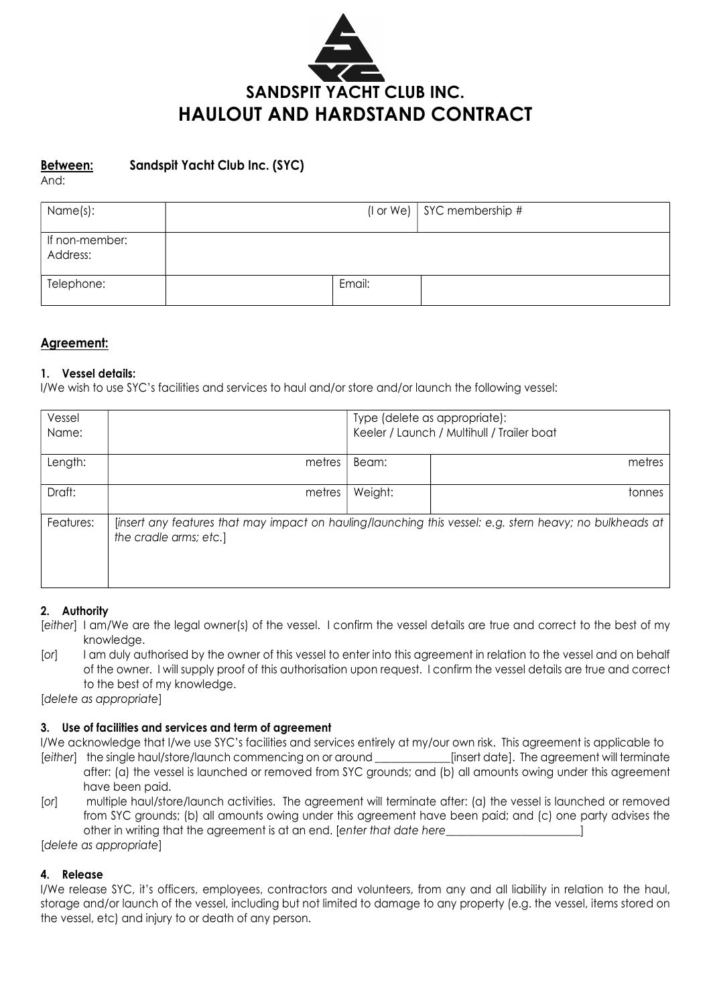

# Between: Sandspit Yacht Club Inc. (SYC)<br>And:

| Name(s):                   |        | (I or We) $\vert$ SYC membership # |
|----------------------------|--------|------------------------------------|
| If non-member:<br>Address: |        |                                    |
| Telephone:                 | Email: |                                    |

#### Agreement:

#### 1. Vessel details:

I/We wish to use SYC's facilities and services to haul and/or store and/or launch the following vessel:

| Vessel<br>Name: |                        | Type (delete as appropriate):<br>Keeler / Launch / Multihull / Trailer boat |                                                                                                          |  |
|-----------------|------------------------|-----------------------------------------------------------------------------|----------------------------------------------------------------------------------------------------------|--|
| Length:         | metres                 | Beam:                                                                       | metres                                                                                                   |  |
| Draft:          | metres                 | Weight:                                                                     | tonnes                                                                                                   |  |
| Features:       | the cradle arms; etc.] |                                                                             | [insert any features that may impact on hauling/launching this vessel: e.g. stern heavy; no bulkheads at |  |

#### 2. Authority

- [either] I am/We are the legal owner(s) of the vessel. I confirm the vessel details are true and correct to the best of my knowledge.
- [or] I am duly authorised by the owner of this vessel to enter into this agreement in relation to the vessel and on behalf of the owner. I will supply proof of this authorisation upon request. I confirm the vessel details are true and correct to the best of my knowledge.

[delete as appropriate]

#### 3. Use of facilities and services and term of agreement

I/We acknowledge that I/we use SYC's facilities and services entirely at my/our own risk. This agreement is applicable to [either] the single haul/store/launch commencing on or around [insert date]. The agreement will terminate

- after: (a) the vessel is launched or removed from SYC grounds; and (b) all amounts owing under this agreement have been paid.
- [or] multiple haul/store/launch activities. The agreement will terminate after: (a) the vessel is launched or removed from SYC grounds; (b) all amounts owing under this agreement have been paid; and (c) one party advises the other in writing that the agreement is at an end. [enter that date here  $\qquad \qquad$  ]

[delete as appropriate]

#### 4. Release

I/We release SYC, it's officers, employees, contractors and volunteers, from any and all liability in relation to the haul, storage and/or launch of the vessel, including but not limited to damage to any property (e.g. the vessel, items stored on the vessel, etc) and injury to or death of any person.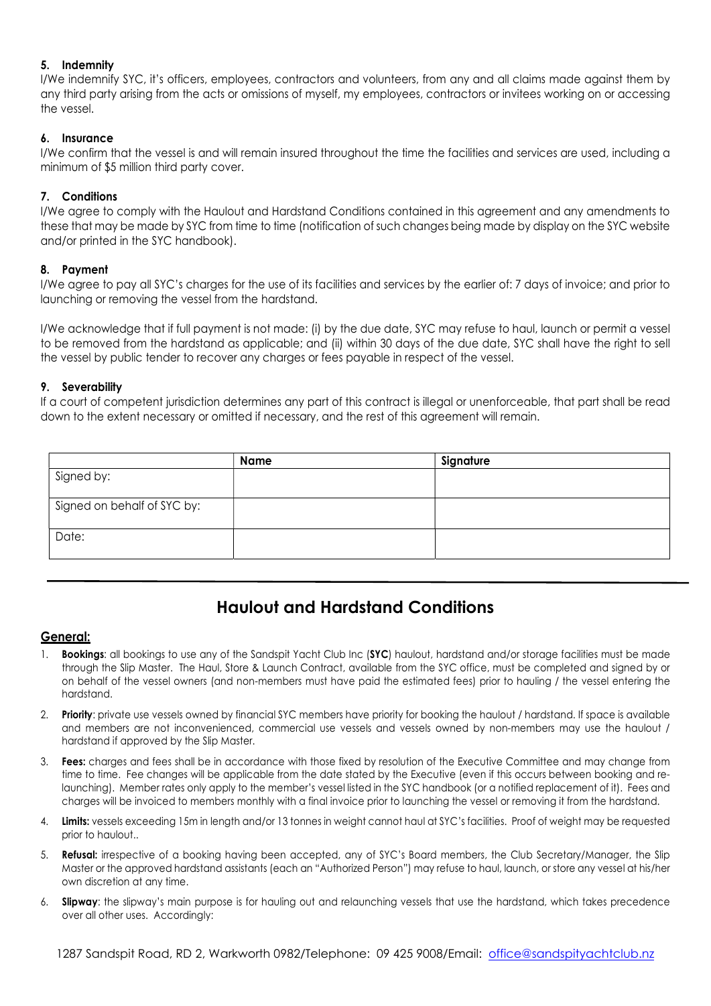#### 5. Indemnity

I/We indemnify SYC, it's officers, employees, contractors and volunteers, from any and all claims made against them by any third party arising from the acts or omissions of myself, my employees, contractors or invitees working on or accessing the vessel.

#### 6. Insurance

I/We confirm that the vessel is and will remain insured throughout the time the facilities and services are used, including a minimum of \$5 million third party cover.

#### 7. Conditions

I/We agree to comply with the Haulout and Hardstand Conditions contained in this agreement and any amendments to these that may be made by SYC from time to time (notification of such changes being made by display on the SYC website and/or printed in the SYC handbook).

#### 8. Payment

I/We agree to pay all SYC's charges for the use of its facilities and services by the earlier of: 7 days of invoice; and prior to launching or removing the vessel from the hardstand.

I/We acknowledge that if full payment is not made: (i) by the due date, SYC may refuse to haul, launch or permit a vessel to be removed from the hardstand as applicable; and (ii) within 30 days of the due date, SYC shall have the right to sell the vessel by public tender to recover any charges or fees payable in respect of the vessel.

#### 9. Severability

If a court of competent jurisdiction determines any part of this contract is illegal or unenforceable, that part shall be read down to the extent necessary or omitted if necessary, and the rest of this agreement will remain.

|                             | Name | Signature |
|-----------------------------|------|-----------|
| Signed by:                  |      |           |
|                             |      |           |
| Signed on behalf of SYC by: |      |           |
|                             |      |           |
| Date:                       |      |           |
|                             |      |           |

### Haulout and Hardstand Conditions

#### General:

- **Bookings:** all bookings to use any of the Sandspit Yacht Club Inc (SYC) haulout, hardstand and/or storage facilities must be made through the Slip Master. The Haul, Store & Launch Contract, available from the SYC office, must be completed and signed by or on behalf of the vessel owners (and non-members must have paid the estimated fees) prior to hauling / the vessel entering the hardstand.
- 2. Priority: private use vessels owned by financial SYC members have priority for booking the haulout / hardstand. If space is available and members are not inconvenienced, commercial use vessels and vessels owned by non-members may use the haulout / hardstand if approved by the Slip Master.
- 3. Fees: charges and fees shall be in accordance with those fixed by resolution of the Executive Committee and may change from time to time. Fee changes will be applicable from the date stated by the Executive (even if this occurs between booking and relaunching). Member rates only apply to the member's vessel listed in the SYC handbook (or a notified replacement of it). Fees and charges will be invoiced to members monthly with a final invoice prior to launching the vessel or removing it from the hardstand.
- 4. Limits: vessels exceeding 15m in length and/or 13 tonnes in weight cannot haul at SYC's facilities. Proof of weight may be requested prior to haulout..
- 5. Refusal: irrespective of a booking having been accepted, any of SYC's Board members, the Club Secretary/Manager, the Slip Master or the approved hardstand assistants (each an "Authorized Person") may refuse to haul, launch, or store any vessel at his/her own discretion at any time.
- 6. Slipway: the slipway's main purpose is for hauling out and relaunching vessels that use the hardstand, which takes precedence over all other uses. Accordingly:

1287 Sandspit Road, RD 2, Warkworth 0982/Telephone: 09 425 9008/Email: office@sandspityachtclub.nz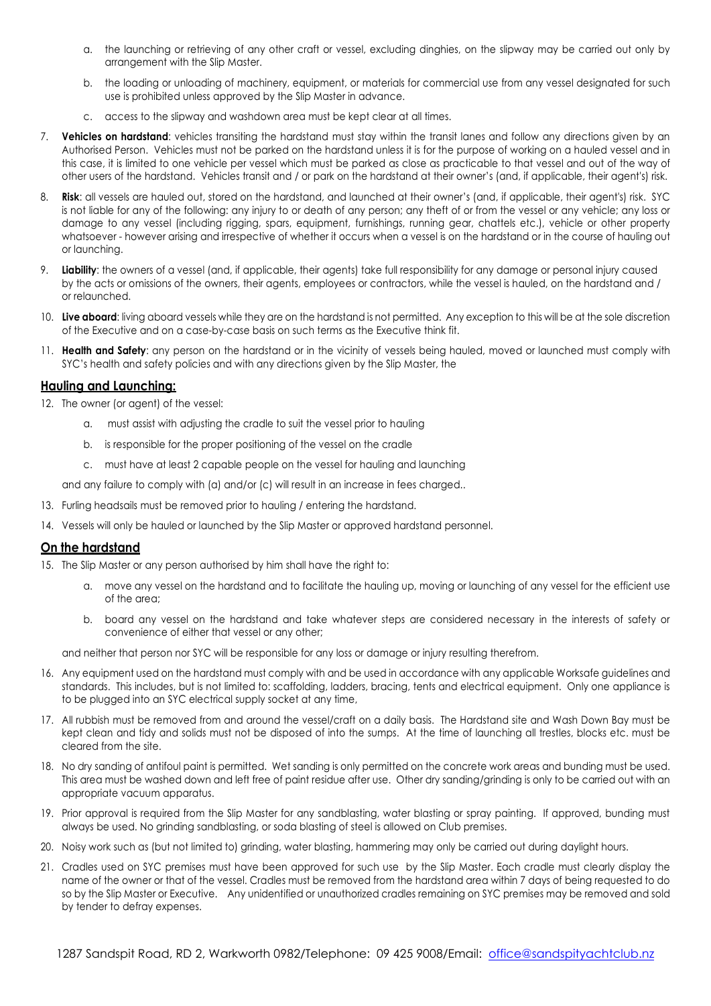- a. the launching or retrieving of any other craft or vessel, excluding dinghies, on the slipway may be carried out only by arrangement with the Slip Master.
- b. the loading or unloading of machinery, equipment, or materials for commercial use from any vessel designated for such use is prohibited unless approved by the Slip Master in advance.
- c. access to the slipway and washdown area must be kept clear at all times.
- 7. Vehicles on hardstand: vehicles transiting the hardstand must stay within the transit lanes and follow any directions given by an Authorised Person. Vehicles must not be parked on the hardstand unless it is for the purpose of working on a hauled vessel and in this case, it is limited to one vehicle per vessel which must be parked as close as practicable to that vessel and out of the way of other users of the hardstand. Vehicles transit and / or park on the hardstand at their owner's (and, if applicable, their agent's) risk.
- 8. Risk: all vessels are hauled out, stored on the hardstand, and launched at their owner's (and, if applicable, their agent's) risk. SYC is not liable for any of the following: any injury to or death of any person; any theft of or from the vessel or any vehicle; any loss or damage to any vessel (including rigging, spars, equipment, furnishings, running gear, chattels etc.), vehicle or other property whatsoever - however arising and irrespective of whether it occurs when a vessel is on the hardstand or in the course of hauling out or launching.
- 9. Liability: the owners of a vessel (and, if applicable, their agents) take full responsibility for any damage or personal injury caused by the acts or omissions of the owners, their agents, employees or contractors, while the vessel is hauled, on the hardstand and / or relaunched.
- 10. Live aboard: living aboard vessels while they are on the hardstand is not permitted. Any exception to this will be at the sole discretion of the Executive and on a case-by-case basis on such terms as the Executive think fit.
- 11. Health and Safety: any person on the hardstand or in the vicinity of vessels being hauled, moved or launched must comply with SYC's health and safety policies and with any directions given by the Slip Master, the

#### Hauling and Launching:

12. The owner (or agent) of the vessel:

- a. must assist with adjusting the cradle to suit the vessel prior to hauling
- b. is responsible for the proper positioning of the vessel on the cradle
- c. must have at least 2 capable people on the vessel for hauling and launching

and any failure to comply with (a) and/or (c) will result in an increase in fees charged..

- 13. Furling headsails must be removed prior to hauling / entering the hardstand.
- 14. Vessels will only be hauled or launched by the Slip Master or approved hardstand personnel.

#### On the hardstand

15. The Slip Master or any person authorised by him shall have the right to:

- a. move any vessel on the hardstand and to facilitate the hauling up, moving or launching of any vessel for the efficient use of the area;
- b. board any vessel on the hardstand and take whatever steps are considered necessary in the interests of safety or convenience of either that vessel or any other;

and neither that person nor SYC will be responsible for any loss or damage or injury resulting therefrom.

- 16. Any equipment used on the hardstand must comply with and be used in accordance with any applicable Worksafe guidelines and standards. This includes, but is not limited to: scaffolding, ladders, bracing, tents and electrical equipment. Only one appliance is to be plugged into an SYC electrical supply socket at any time,
- 17. All rubbish must be removed from and around the vessel/craft on a daily basis. The Hardstand site and Wash Down Bay must be kept clean and tidy and solids must not be disposed of into the sumps. At the time of launching all trestles, blocks etc. must be cleared from the site.
- 18. No dry sanding of antifoul paint is permitted. Wet sanding is only permitted on the concrete work areas and bunding must be used. This area must be washed down and left free of paint residue after use. Other dry sanding/grinding is only to be carried out with an appropriate vacuum apparatus.
- 19. Prior approval is required from the Slip Master for any sandblasting, water blasting or spray painting. If approved, bunding must always be used. No grinding sandblasting, or soda blasting of steel is allowed on Club premises.
- 20. Noisy work such as (but not limited to) grinding, water blasting, hammering may only be carried out during daylight hours.
- 21. Cradles used on SYC premises must have been approved for such use by the Slip Master. Each cradle must clearly display the name of the owner or that of the vessel. Cradles must be removed from the hardstand area within 7 days of being requested to do so by the Slip Master or Executive. Any unidentified or unauthorized cradles remaining on SYC premises may be removed and sold by tender to defray expenses.